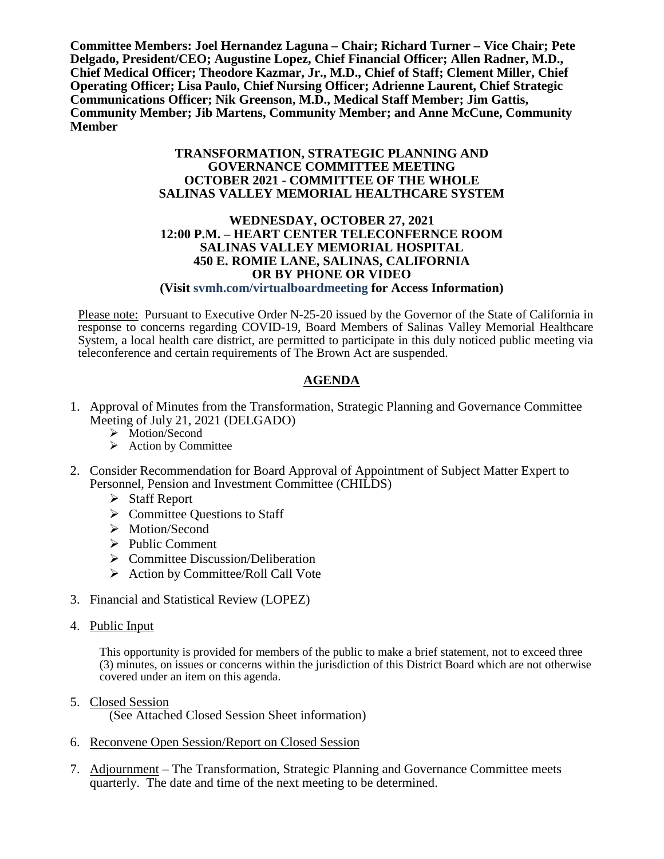**Committee Members: Joel Hernandez Laguna – Chair; Richard Turner – Vice Chair; Pete Delgado, President/CEO; Augustine Lopez, Chief Financial Officer; Allen Radner, M.D., Chief Medical Officer; Theodore Kazmar, Jr., M.D., Chief of Staff; Clement Miller, Chief Operating Officer; Lisa Paulo, Chief Nursing Officer; Adrienne Laurent, Chief Strategic Communications Officer; Nik Greenson, M.D., Medical Staff Member; Jim Gattis, Community Member; Jib Martens, Community Member; and Anne McCune, Community Member**

#### **TRANSFORMATION, STRATEGIC PLANNING AND GOVERNANCE COMMITTEE MEETING OCTOBER 2021 - COMMITTEE OF THE WHOLE SALINAS VALLEY MEMORIAL HEALTHCARE SYSTEM**

#### **WEDNESDAY, OCTOBER 27, 2021 12:00 P.M. – HEART CENTER TELECONFERNCE ROOM SALINAS VALLEY MEMORIAL HOSPITAL 450 E. ROMIE LANE, SALINAS, CALIFORNIA OR BY PHONE OR VIDEO (Visit svmh.com/virtualboardmeeting for Access Information)**

Please note: Pursuant to Executive Order N-25-20 issued by the Governor of the State of California in response to concerns regarding COVID-19, Board Members of Salinas Valley Memorial Healthcare System, a local health care district, are permitted to participate in this duly noticed public meeting via teleconference and certain requirements of The Brown Act are suspended.

# **AGENDA**

- 1. Approval of Minutes from the Transformation, Strategic Planning and Governance Committee Meeting of July 21, 2021 (DELGADO)
	- > Motion/Second
	- $\triangleright$  Action by Committee
- 2. Consider Recommendation for Board Approval of Appointment of Subject Matter Expert to Personnel, Pension and Investment Committee (CHILDS)
	- $\triangleright$  Staff Report
	- $\triangleright$  Committee Ouestions to Staff
	- > Motion/Second
	- $\triangleright$  Public Comment
	- $\triangleright$  Committee Discussion/Deliberation
	- $\triangleright$  Action by Committee/Roll Call Vote
- 3. Financial and Statistical Review (LOPEZ)
- 4. Public Input

This opportunity is provided for members of the public to make a brief statement, not to exceed three (3) minutes, on issues or concerns within the jurisdiction of this District Board which are not otherwise covered under an item on this agenda.

5. Closed Session

(See Attached Closed Session Sheet information)

- 6. Reconvene Open Session/Report on Closed Session
- 7. Adjournment The Transformation, Strategic Planning and Governance Committee meets quarterly. The date and time of the next meeting to be determined.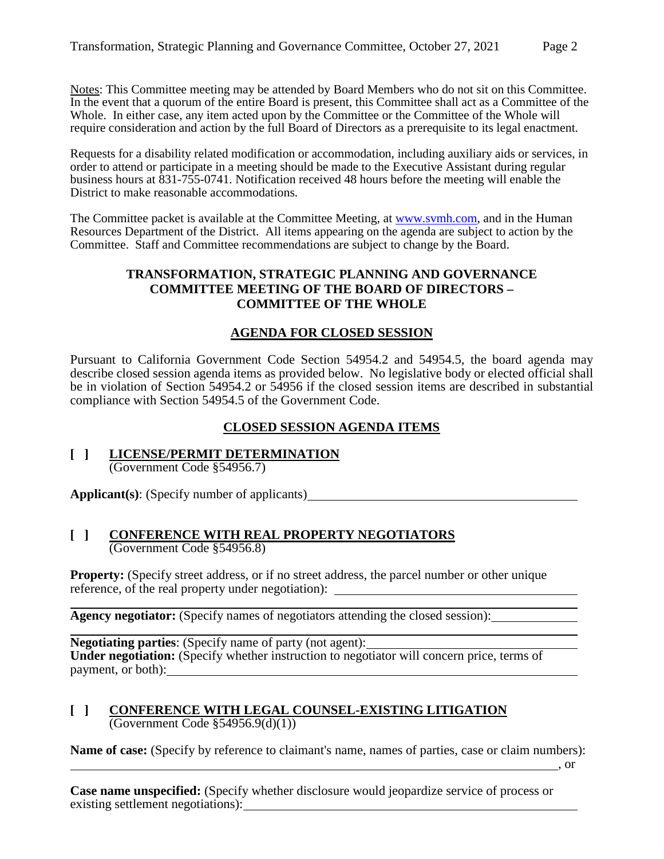Notes: This Committee meeting may be attended by Board Members who do not sit on this Committee. In the event that a quorum of the entire Board is present, this Committee shall act as a Committee of the Whole. In either case, any item acted upon by the Committee or the Committee of the Whole will require consideration and action by the full Board of Directors as a prerequisite to its legal enactment.

Requests for a disability related modification or accommodation, including auxiliary aids or services, in order to attend or participate in a meeting should be made to the Executive Assistant during regular business hours at 831-755-0741. Notification received 48 hours before the meeting will enable the District to make reasonable accommodations.

The Committee packet is available at the Committee Meeting, at [www.svmh.com,](http://www.svmh.com/) and in the Human Resources Department of the District. All items appearing on the agenda are subject to action by the Committee. Staff and Committee recommendations are subject to change by the Board.

### **TRANSFORMATION, STRATEGIC PLANNING AND GOVERNANCE COMMITTEE MEETING OF THE BOARD OF DIRECTORS – COMMITTEE OF THE WHOLE**

# **AGENDA FOR CLOSED SESSION**

Pursuant to California Government Code Section 54954.2 and 54954.5, the board agenda may describe closed session agenda items as provided below. No legislative body or elected official shall be in violation of Section 54954.2 or 54956 if the closed session items are described in substantial compliance with Section 54954.5 of the Government Code.

### **CLOSED SESSION AGENDA ITEMS**

**[ ] LICENSE/PERMIT DETERMINATION** (Government Code §54956.7)

**Applicant(s)**: (Specify number of applicants)

#### **[ ] CONFERENCE WITH REAL PROPERTY NEGOTIATORS** (Government Code §54956.8)

**Property:** (Specify street address, or if no street address, the parcel number or other unique reference, of the real property under negotiation):

**Agency negotiator:** (Specify names of negotiators attending the closed session):

**Negotiating parties**: (Specify name of party (not agent): **Under negotiation:** (Specify whether instruction to negotiator will concern price, terms of payment, or both):

#### **[ ] CONFERENCE WITH LEGAL COUNSEL-EXISTING LITIGATION** (Government Code §54956.9(d)(1))

**Name of case:** (Specify by reference to claimant's name, names of parties, case or claim numbers):

, or

**Case name unspecified:** (Specify whether disclosure would jeopardize service of process or existing settlement negotiations):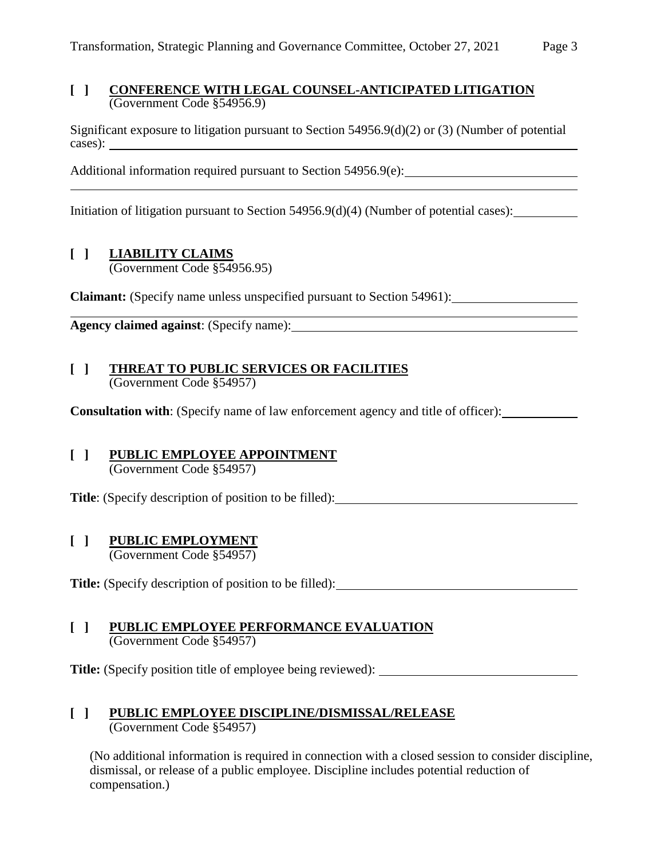#### **[ ] CONFERENCE WITH LEGAL COUNSEL-ANTICIPATED LITIGATION** (Government Code §54956.9)

Significant exposure to litigation pursuant to Section 54956.9(d)(2) or (3) (Number of potential cases):

Additional information required pursuant to Section 54956.9(e):

Initiation of litigation pursuant to Section 54956.9(d)(4) (Number of potential cases):

# **[ ] LIABILITY CLAIMS**

(Government Code §54956.95)

**Claimant:** (Specify name unless unspecified pursuant to Section 54961):

**Agency claimed against**: (Specify name):

#### **[ ] THREAT TO PUBLIC SERVICES OR FACILITIES** (Government Code §54957)

**Consultation with:** (Specify name of law enforcement agency and title of officer):

# **[ ] PUBLIC EMPLOYEE APPOINTMENT**

(Government Code §54957)

**Title**: (Specify description of position to be filled):

#### **[ ] PUBLIC EMPLOYMENT**

(Government Code §54957)

Title: (Specify description of position to be filled):

#### **[ ] PUBLIC EMPLOYEE PERFORMANCE EVALUATION** (Government Code §54957)

**Title:** (Specify position title of employee being reviewed):

# **[ ] PUBLIC EMPLOYEE DISCIPLINE/DISMISSAL/RELEASE**

(Government Code §54957)

(No additional information is required in connection with a closed session to consider discipline, dismissal, or release of a public employee. Discipline includes potential reduction of compensation.)